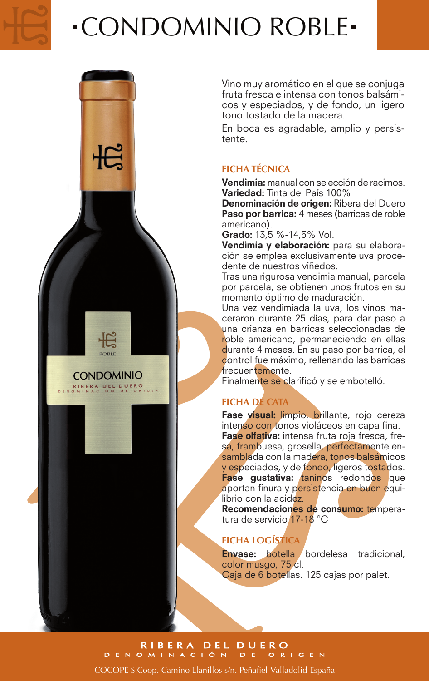

**CONDOMINIO** RIBERA DEL DUERO

# CONDOMINIO ROBLE

Vino muy aromático en el que se conjuga fruta fresca e intensa con tonos balsámicos y especiados, y de fondo, un ligero tono tostado de la madera.

En boca es agradable, amplio y persistente.

### **FICHA TÉCNICA**

Vendimia: manual con selección de racimos. Variedad: Tinta del País 100%

Denominación de origen: Ribera del Duero Paso por barrica: 4 meses (barricas de roble americano).

Grado: 13,5 %-14,5% Vol.

Vendimia y elaboración: para su elaboración se emplea exclusivamente uva procedente de nuestros viñedos.

Tras una rigurosa vendimia manual, parcela por parcela, se obtienen unos frutos en su momento óptimo de maduración.

Una vez vendimiada la uva, los vinos maceraron durante 25 días, para dar paso a una crianza en barricas seleccionadas de roble americano, permaneciendo en ellas durante 4 meses. En su paso por barrica, el control fue máximo, rellenando las barricas frecuentemente.

Finalmente se clarificó y se embotelló.

### **FICHA DE CATA**

Fase visual: limpio, brillante, rojo cereza intenso con tonos violáceos en capa fina. Fase olfativa: intensa fruta roja fresca, fresa, frambuesa, grosella, perfectamente ensamblada con la madera, tonos balsámicos y especiados, y de fondo, ligeros tostados. Fase gustativa: taninos redondos que aportan finura y persistencia en buen equilibrio con la acidez.

Recomendaciones de consumo: temperatura de servicio 17-18 ºC

### **FICHA LOGÍSTICA**

Envase: botella bordelesa tradicional, color musgo, 75 cl. Caja de 6 botellas. 125 cajas por palet.

RIBERA DEL DUERO<br>DENOMINACIÓN DE ORIGEN COCOPE S.Coop. Camino Llanillos s/n. Peñafiel-Valladolid-España